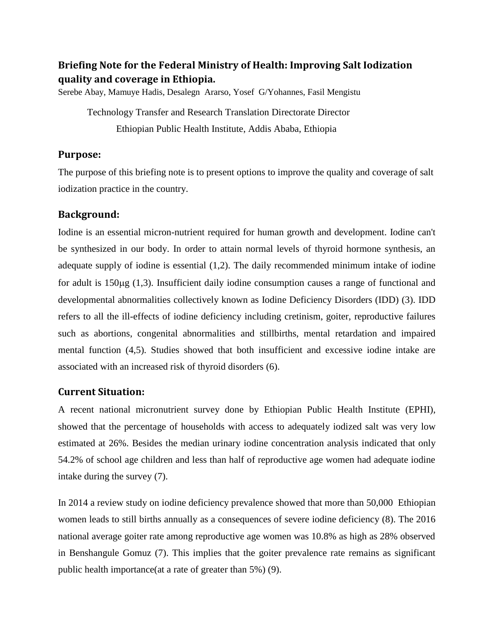# **Briefing Note for the Federal Ministry of Health: Improving Salt Iodization quality and coverage in Ethiopia.**

Serebe Abay, Mamuye Hadis, Desalegn Ararso, Yosef G/Yohannes, Fasil Mengistu

Technology Transfer and Research Translation Directorate Director Ethiopian Public Health Institute, Addis Ababa, Ethiopia

## **Purpose:**

The purpose of this briefing note is to present options to improve the quality and coverage of salt iodization practice in the country.

## **Background:**

Iodine is an essential micron-nutrient required for human growth and development. Iodine can't be synthesized in our body. In order to attain normal levels of thyroid hormone synthesis, an adequate supply of iodine is essential (1,2). The daily recommended minimum intake of iodine for adult is  $150\mu g$  (1,3). Insufficient daily iodine consumption causes a range of functional and developmental abnormalities collectively known as Iodine Deficiency Disorders (IDD) (3). IDD refers to all the ill-effects of iodine deficiency including cretinism, goiter, reproductive failures such as abortions, congenital abnormalities and stillbirths, mental retardation and impaired mental function (4,5). Studies showed that both insufficient and excessive iodine intake are associated with an increased risk of thyroid disorders (6).

# **Current Situation:**

A recent national micronutrient survey done by Ethiopian Public Health Institute (EPHI), showed that the percentage of households with access to adequately iodized salt was very low estimated at 26%. Besides the median urinary iodine concentration analysis indicated that only 54.2% of school age children and less than half of reproductive age women had adequate iodine intake during the survey (7).

In 2014 a review study on iodine deficiency prevalence showed that more than 50,000 Ethiopian women leads to still births annually as a consequences of severe iodine deficiency (8). The 2016 national average goiter rate among reproductive age women was 10.8% as high as 28% observed in Benshangule Gomuz (7). This implies that the goiter prevalence rate remains as significant public health importance(at a rate of greater than 5%) (9).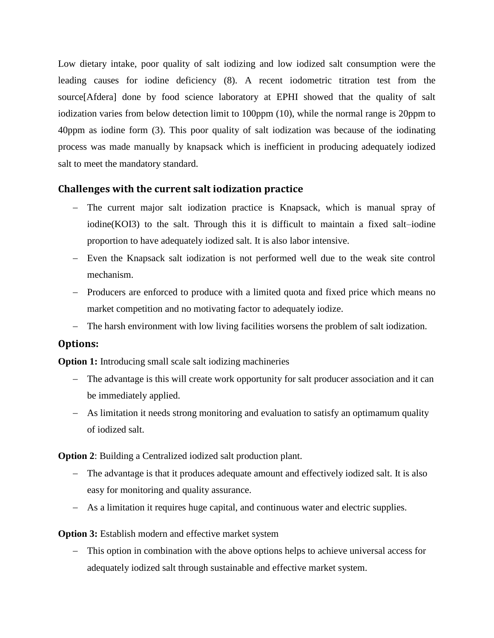Low dietary intake, poor quality of salt iodizing and low iodized salt consumption were the leading causes for iodine deficiency (8). A recent iodometric titration test from the source[Afdera] done by food science laboratory at EPHI showed that the quality of salt iodization varies from below detection limit to 100ppm (10), while the normal range is 20ppm to 40ppm as iodine form (3). This poor quality of salt iodization was because of the iodinating process was made manually by knapsack which is inefficient in producing adequately iodized salt to meet the mandatory standard.

# **Challenges with the current salt iodization practice**

- The current major salt iodization practice is Knapsack, which is manual spray of iodine(KOI3) to the salt. Through this it is difficult to maintain a fixed salt–iodine proportion to have adequately iodized salt. It is also labor intensive.
- Even the Knapsack salt iodization is not performed well due to the weak site control mechanism.
- Producers are enforced to produce with a limited quota and fixed price which means no market competition and no motivating factor to adequately iodize.
- The harsh environment with low living facilities worsens the problem of salt iodization.

### **Options:**

**Option 1:** Introducing small scale salt iodizing machineries

- The advantage is this will create work opportunity for salt producer association and it can be immediately applied.
- As limitation it needs strong monitoring and evaluation to satisfy an optimamum quality of iodized salt.

**Option 2**: Building a Centralized iodized salt production plant.

- The advantage is that it produces adequate amount and effectively iodized salt. It is also easy for monitoring and quality assurance.
- As a limitation it requires huge capital, and continuous water and electric supplies.

### **Option 3:** Establish modern and effective market system

 This option in combination with the above options helps to achieve universal access for adequately iodized salt through sustainable and effective market system.